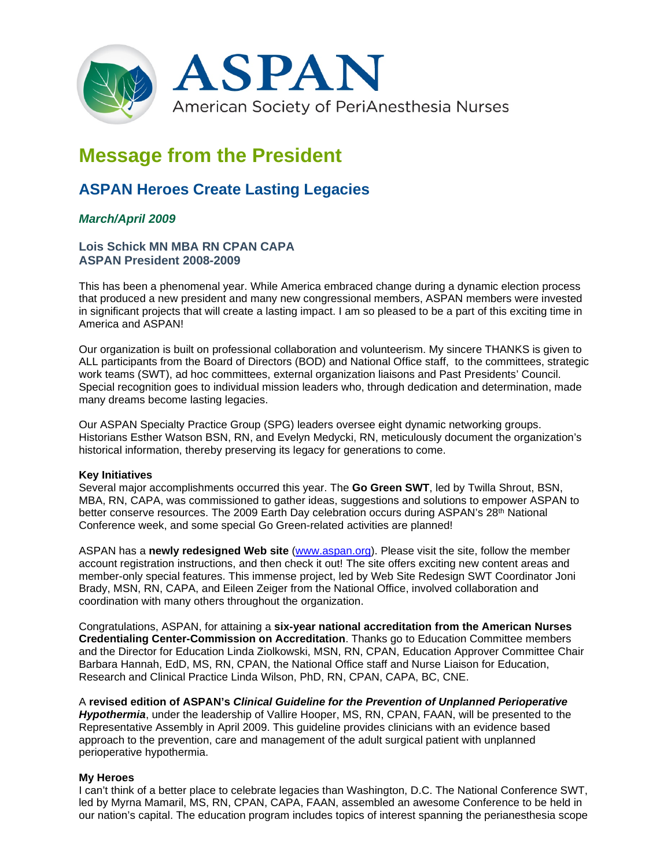

# **Message from the President**

## **ASPAN Heroes Create Lasting Legacies**

### *March/April 2009*

#### **Lois Schick MN MBA RN CPAN CAPA ASPAN President 2008-2009**

This has been a phenomenal year. While America embraced change during a dynamic election process that produced a new president and many new congressional members, ASPAN members were invested in significant projects that will create a lasting impact. I am so pleased to be a part of this exciting time in America and ASPAN!

Our organization is built on professional collaboration and volunteerism. My sincere THANKS is given to ALL participants from the Board of Directors (BOD) and National Office staff, to the committees, strategic work teams (SWT), ad hoc committees, external organization liaisons and Past Presidents' Council. Special recognition goes to individual mission leaders who, through dedication and determination, made many dreams become lasting legacies.

Our ASPAN Specialty Practice Group (SPG) leaders oversee eight dynamic networking groups. Historians Esther Watson BSN, RN, and Evelyn Medycki, RN, meticulously document the organization's historical information, thereby preserving its legacy for generations to come.

#### **Key Initiatives**

Several major accomplishments occurred this year. The **Go Green SWT**, led by Twilla Shrout, BSN, MBA, RN, CAPA, was commissioned to gather ideas, suggestions and solutions to empower ASPAN to better conserve resources. The 2009 Earth Day celebration occurs during ASPAN's 28<sup>th</sup> National Conference week, and some special Go Green-related activities are planned!

ASPAN has a **newly redesigned Web site** (www.aspan.org). Please visit the site, follow the member account registration instructions, and then check it out! The site offers exciting new content areas and member-only special features. This immense project, led by Web Site Redesign SWT Coordinator Joni Brady, MSN, RN, CAPA, and Eileen Zeiger from the National Office, involved collaboration and coordination with many others throughout the organization.

Congratulations, ASPAN, for attaining a **six-year national accreditation from the American Nurses Credentialing Center-Commission on Accreditation**. Thanks go to Education Committee members and the Director for Education Linda Ziolkowski, MSN, RN, CPAN, Education Approver Committee Chair Barbara Hannah, EdD, MS, RN, CPAN, the National Office staff and Nurse Liaison for Education, Research and Clinical Practice Linda Wilson, PhD, RN, CPAN, CAPA, BC, CNE.

A **revised edition of ASPAN's** *Clinical Guideline for the Prevention of Unplanned Perioperative Hypothermia*, under the leadership of Vallire Hooper, MS, RN, CPAN, FAAN, will be presented to the Representative Assembly in April 2009. This guideline provides clinicians with an evidence based approach to the prevention, care and management of the adult surgical patient with unplanned perioperative hypothermia.

#### **My Heroes**

I can't think of a better place to celebrate legacies than Washington, D.C. The National Conference SWT, led by Myrna Mamaril, MS, RN, CPAN, CAPA, FAAN, assembled an awesome Conference to be held in our nation's capital. The education program includes topics of interest spanning the perianesthesia scope